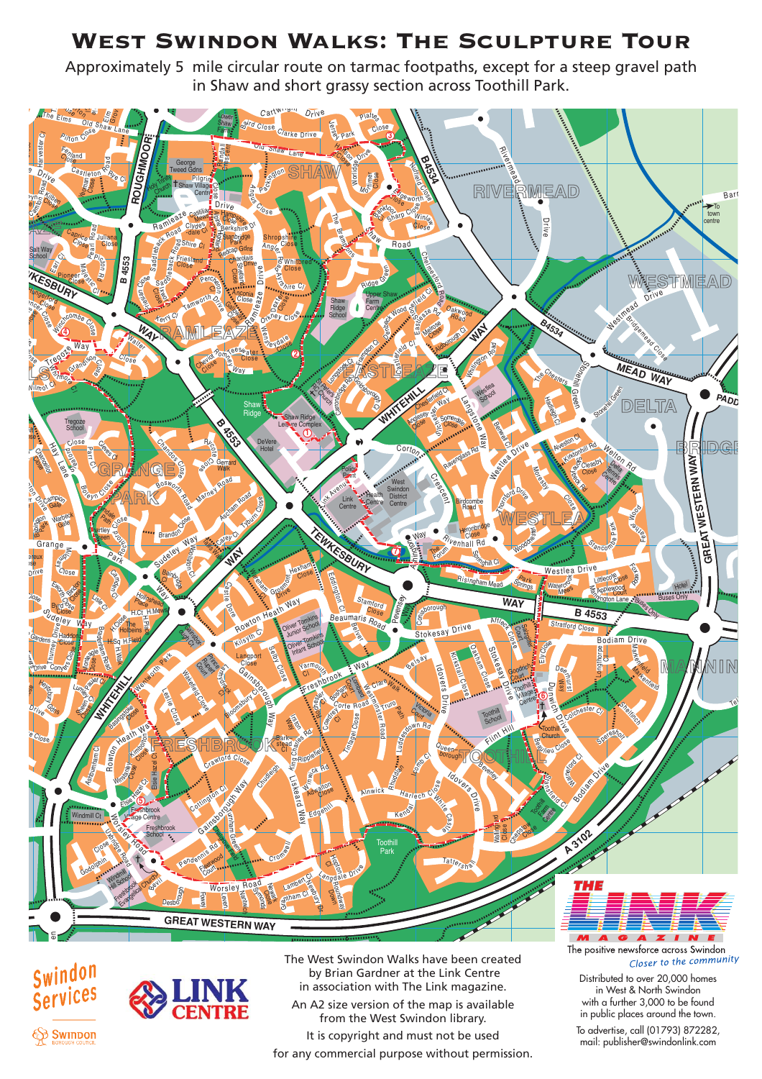## West Swindon Walks: The Sculpture Tour

Approximately 5 mile circular route on tarmac footpaths, except for a steep gravel path in Shaw and short grassy section across Toothill Park.







 by Brian Gardner at the Link Centre in association with The Link magazine. An A2 size version of the map is available from the West Swindon library. It is copyright and must not be used for any commercial purpose without permission.

Distributed to over 20,000 homes in West & North Swindon with a further 3,000 to be found in public places around the town.

To advertise, call (01793) 872282, mail: publisher@swindonlink.com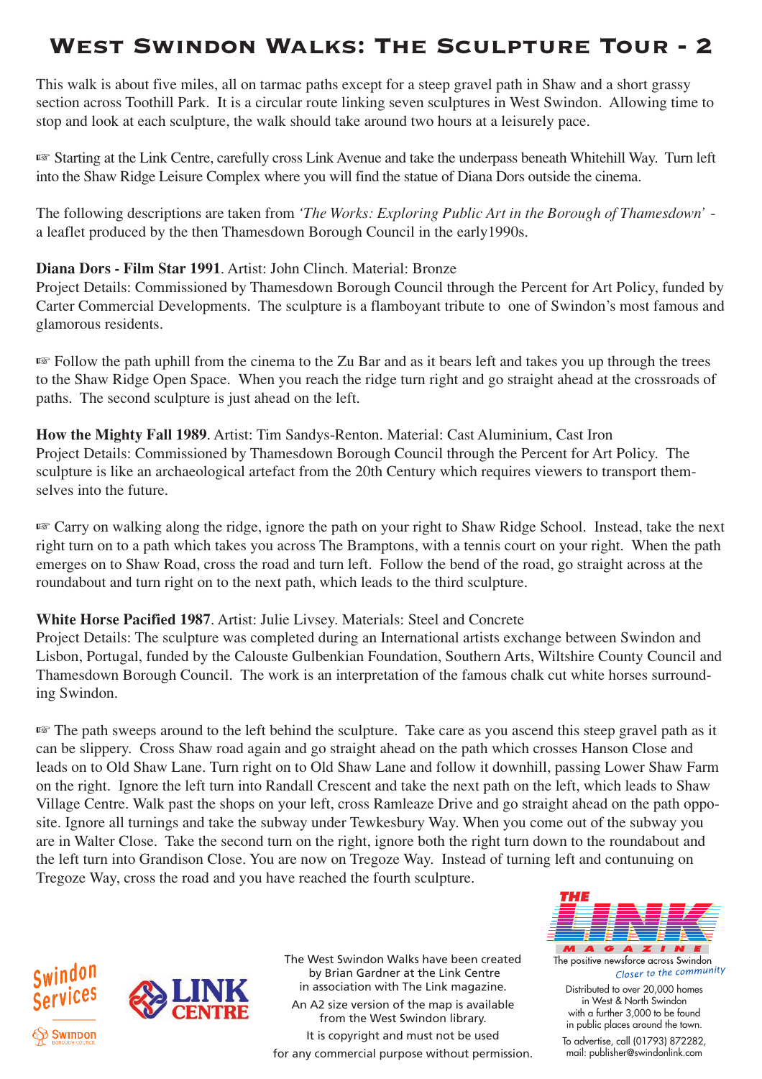# West Swindon Walks: The Sculpture Tour - 2

This walk is about five miles, all on tarmac paths except for a steep gravel path in Shaw and a short grassy section across Toothill Park. It is a circular route linking seven sculptures in West Swindon. Allowing time to stop and look at each sculpture, the walk should take around two hours at a leisurely pace.

☞ Starting at the Link Centre, carefully cross Link Avenue and take the underpass beneath Whitehill Way. Turn left into the Shaw Ridge Leisure Complex where you will find the statue of Diana Dors outside the cinema.

The following descriptions are taken from *'The Works: Exploring Public Art in the Borough of Thamesdown'* a leaflet produced by the then Thamesdown Borough Council in the early1990s.

### **Diana Dors - Film Star 1991**. Artist: John Clinch. Material: Bronze

Project Details: Commissioned by Thamesdown Borough Council through the Percent for Art Policy, funded by Carter Commercial Developments. The sculpture is a flamboyant tribute to one of Swindon's most famous and glamorous residents.

☞ Follow the path uphill from the cinema to the Zu Bar and as it bears left and takes you up through the trees to the Shaw Ridge Open Space. When you reach the ridge turn right and go straight ahead at the crossroads of paths. The second sculpture is just ahead on the left.

**How the Mighty Fall 1989**. Artist: Tim Sandys-Renton. Material: Cast Aluminium, Cast Iron Project Details: Commissioned by Thamesdown Borough Council through the Percent for Art Policy. The sculpture is like an archaeological artefact from the 20th Century which requires viewers to transport themselves into the future.

☞ Carry on walking along the ridge, ignore the path on your right to Shaw Ridge School. Instead, take the next right turn on to a path which takes you across The Bramptons, with a tennis court on your right. When the path emerges on to Shaw Road, cross the road and turn left. Follow the bend of the road, go straight across at the roundabout and turn right on to the next path, which leads to the third sculpture.

### **White Horse Pacified 1987**. Artist: Julie Livsey. Materials: Steel and Concrete

Project Details: The sculpture was completed during an International artists exchange between Swindon and Lisbon, Portugal, funded by the Calouste Gulbenkian Foundation, Southern Arts, Wiltshire County Council and Thamesdown Borough Council. The work is an interpretation of the famous chalk cut white horses surrounding Swindon.

☞ The path sweeps around to the left behind the sculpture. Take care as you ascend this steep gravel path as it can be slippery. Cross Shaw road again and go straight ahead on the path which crosses Hanson Close and leads on to Old Shaw Lane. Turn right on to Old Shaw Lane and follow it downhill, passing Lower Shaw Farm on the right. Ignore the left turn into Randall Crescent and take the next path on the left, which leads to Shaw Village Centre. Walk past the shops on your left, cross Ramleaze Drive and go straight ahead on the path opposite. Ignore all turnings and take the subway under Tewkesbury Way. When you come out of the subway you are in Walter Close. Take the second turn on the right, ignore both the right turn down to the roundabout and the left turn into Grandison Close. You are now on Tregoze Way. Instead of turning left and contunuing on Tregoze Way, cross the road and you have reached the fourth sculpture.





The West Swindon Walks have been created by Brian Gardner at the Link Centre in association with The Link magazine. An A2 size version of the map is available from the West Swindon library. It is copyright and must not be used for any commercial purpose without permission.



The positive newsforce across Swindon Closer to the community Distributed to over 20,000 homes in West & North Swindon with a further 3,000 to be found in public places around the town. To advertise, call (01793) 872282, mail: publisher@swindonlink.com